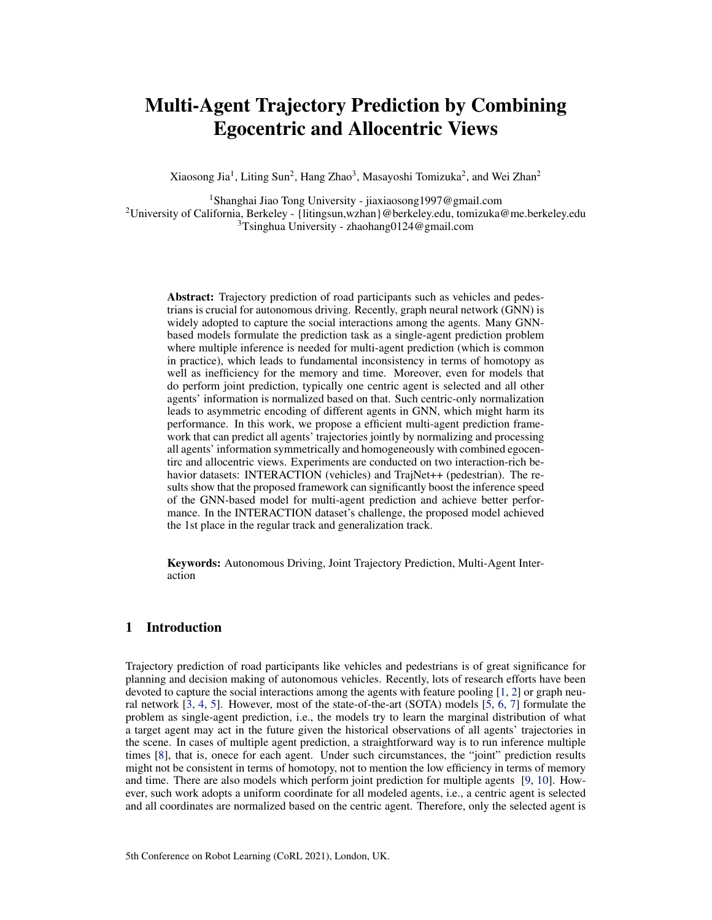# <span id="page-0-0"></span>Multi-Agent Trajectory Prediction by Combining Egocentric and Allocentric Views

Xiaosong Jia<sup>1</sup>, Liting Sun<sup>2</sup>, Hang Zhao<sup>3</sup>, Masayoshi Tomizuka<sup>2</sup>, and Wei Zhan<sup>2</sup>

<sup>1</sup>Shanghai Jiao Tong University - jiaxiaosong1997@gmail.com <sup>2</sup>University of California, Berkeley - {litingsun,wzhan}@berkeley.edu, tomizuka@me.berkeley.edu <sup>3</sup>Tsinghua University - zhaohang0124@gmail.com

Abstract: Trajectory prediction of road participants such as vehicles and pedestrians is crucial for autonomous driving. Recently, graph neural network (GNN) is widely adopted to capture the social interactions among the agents. Many GNNbased models formulate the prediction task as a single-agent prediction problem where multiple inference is needed for multi-agent prediction (which is common in practice), which leads to fundamental inconsistency in terms of homotopy as well as inefficiency for the memory and time. Moreover, even for models that do perform joint prediction, typically one centric agent is selected and all other agents' information is normalized based on that. Such centric-only normalization leads to asymmetric encoding of different agents in GNN, which might harm its performance. In this work, we propose a efficient multi-agent prediction framework that can predict all agents' trajectories jointly by normalizing and processing all agents' information symmetrically and homogeneously with combined egocentirc and allocentric views. Experiments are conducted on two interaction-rich behavior datasets: INTERACTION (vehicles) and TrajNet++ (pedestrian). The results show that the proposed framework can significantly boost the inference speed of the GNN-based model for multi-agent prediction and achieve better performance. In the INTERACTION dataset's challenge, the proposed model achieved the 1st place in the regular track and generalization track.

Keywords: Autonomous Driving, Joint Trajectory Prediction, Multi-Agent Interaction

## 1 Introduction

Trajectory prediction of road participants like vehicles and pedestrians is of great significance for planning and decision making of autonomous vehicles. Recently, lots of research efforts have been devoted to capture the social interactions among the agents with feature pooling [\[1,](#page-8-0) [2\]](#page-8-0) or graph neural network [\[3,](#page-8-0) [4,](#page-8-0) [5\]](#page-8-0). However, most of the state-of-the-art (SOTA) models [\[5,](#page-8-0) [6,](#page-8-0) [7\]](#page-8-0) formulate the problem as single-agent prediction, i.e., the models try to learn the marginal distribution of what a target agent may act in the future given the historical observations of all agents' trajectories in the scene. In cases of multiple agent prediction, a straightforward way is to run inference multiple times [\[8\]](#page-8-0), that is, onece for each agent. Under such circumstances, the "joint" prediction results might not be consistent in terms of homotopy, not to mention the low efficiency in terms of memory and time. There are also models which perform joint prediction for multiple agents [\[9,](#page-8-0) [10\]](#page-8-0). However, such work adopts a uniform coordinate for all modeled agents, i.e., a centric agent is selected and all coordinates are normalized based on the centric agent. Therefore, only the selected agent is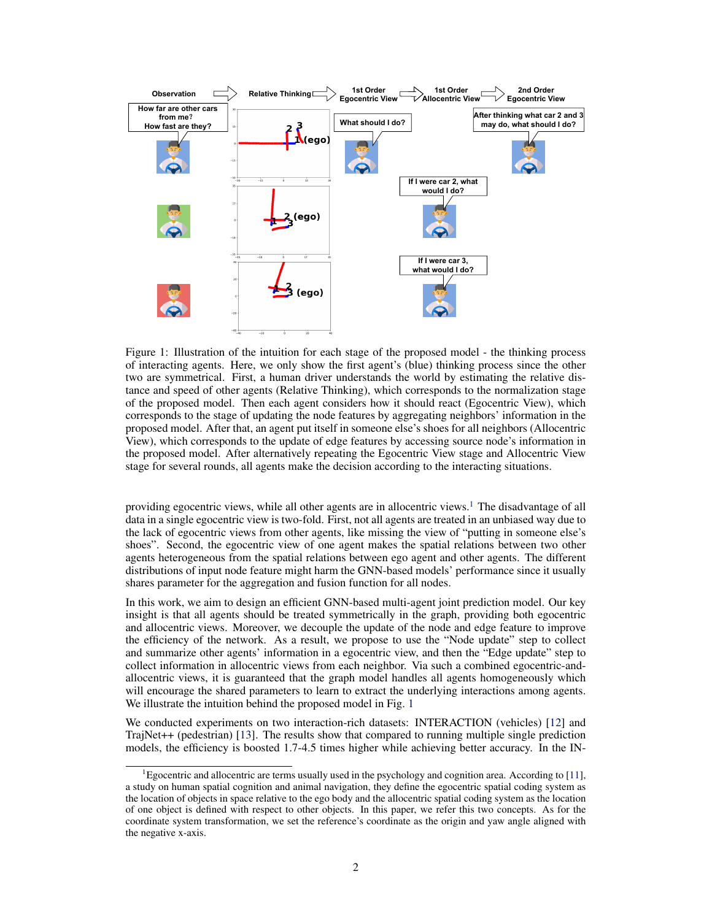

Figure 1: Illustration of the intuition for each stage of the proposed model - the thinking process of interacting agents. Here, we only show the first agent's (blue) thinking process since the other two are symmetrical. First, a human driver understands the world by estimating the relative distance and speed of other agents (Relative Thinking), which corresponds to the normalization stage of the proposed model. Then each agent considers how it should react (Egocentric View), which corresponds to the stage of updating the node features by aggregating neighbors' information in the proposed model. After that, an agent put itself in someone else's shoes for all neighbors (Allocentric View), which corresponds to the update of edge features by accessing source node's information in the proposed model. After alternatively repeating the Egocentric View stage and Allocentric View stage for several rounds, all agents make the decision according to the interacting situations.

providing egocentric views, while all other agents are in allocentric views.<sup>[1](#page-0-0)</sup> The disadvantage of all data in a single egocentric view is two-fold. First, not all agents are treated in an unbiased way due to the lack of egocentric views from other agents, like missing the view of "putting in someone else's shoes". Second, the egocentric view of one agent makes the spatial relations between two other agents heterogeneous from the spatial relations between ego agent and other agents. The different distributions of input node feature might harm the GNN-based models' performance since it usually shares parameter for the aggregation and fusion function for all nodes.

In this work, we aim to design an efficient GNN-based multi-agent joint prediction model. Our key insight is that all agents should be treated symmetrically in the graph, providing both egocentric and allocentric views. Moreover, we decouple the update of the node and edge feature to improve the efficiency of the network. As a result, we propose to use the "Node update" step to collect and summarize other agents' information in a egocentric view, and then the "Edge update" step to collect information in allocentric views from each neighbor. Via such a combined egocentric-andallocentric views, it is guaranteed that the graph model handles all agents homogeneously which will encourage the shared parameters to learn to extract the underlying interactions among agents. We illustrate the intuition behind the proposed model in Fig. 1

We conducted experiments on two interaction-rich datasets: INTERACTION (vehicles) [\[12\]](#page-8-0) and TrajNet++ (pedestrian) [\[13\]](#page-8-0). The results show that compared to running multiple single prediction models, the efficiency is boosted 1.7-4.5 times higher while achieving better accuracy. In the IN-

<sup>&</sup>lt;sup>1</sup>Egocentric and allocentric are terms usually used in the psychology and cognition area. According to [\[11\]](#page-8-0), a study on human spatial cognition and animal navigation, they define the egocentric spatial coding system as the location of objects in space relative to the ego body and the allocentric spatial coding system as the location of one object is defined with respect to other objects. In this paper, we refer this two concepts. As for the coordinate system transformation, we set the reference's coordinate as the origin and yaw angle aligned with the negative x-axis.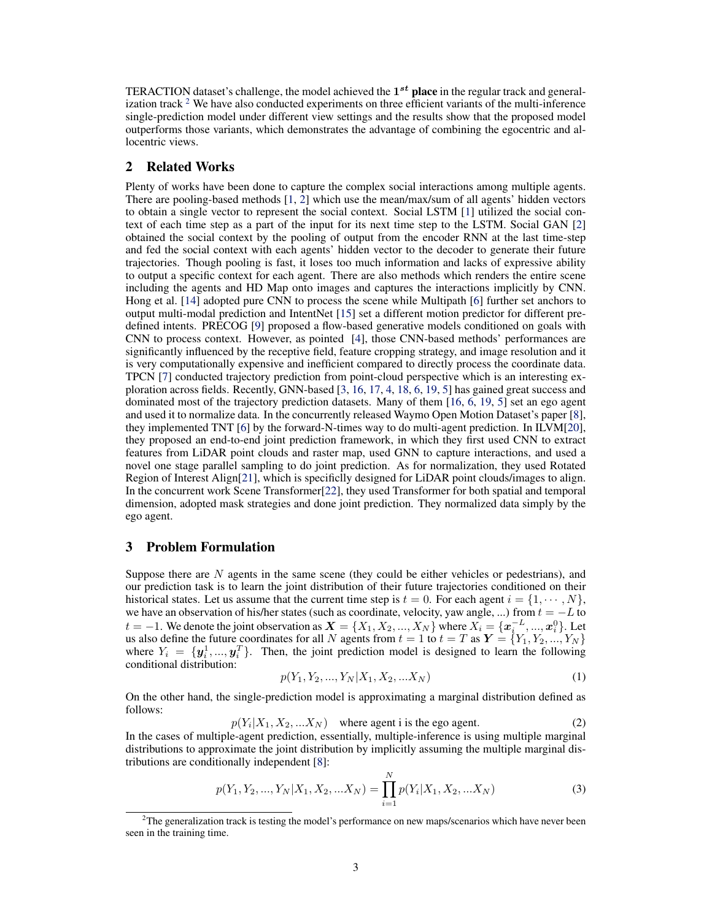TERACTION dataset's challenge, the model achieved the  $1^{st}$  place in the regular track and generalization track  $2$  We have also conducted experiments on three efficient variants of the multi-inference single-prediction model under different view settings and the results show that the proposed model outperforms those variants, which demonstrates the advantage of combining the egocentric and allocentric views.

## 2 Related Works

Plenty of works have been done to capture the complex social interactions among multiple agents. There are pooling-based methods [\[1,](#page-8-0) [2\]](#page-8-0) which use the mean/max/sum of all agents' hidden vectors to obtain a single vector to represent the social context. Social LSTM [\[1\]](#page-8-0) utilized the social context of each time step as a part of the input for its next time step to the LSTM. Social GAN [\[2\]](#page-8-0) obtained the social context by the pooling of output from the encoder RNN at the last time-step and fed the social context with each agents' hidden vector to the decoder to generate their future trajectories. Though pooling is fast, it loses too much information and lacks of expressive ability to output a specific context for each agent. There are also methods which renders the entire scene including the agents and HD Map onto images and captures the interactions implicitly by CNN. Hong et al. [\[14\]](#page-8-0) adopted pure CNN to process the scene while Multipath [\[6\]](#page-8-0) further set anchors to output multi-modal prediction and IntentNet [\[15\]](#page-8-0) set a different motion predictor for different predefined intents. PRECOG [\[9\]](#page-8-0) proposed a flow-based generative models conditioned on goals with CNN to process context. However, as pointed [\[4\]](#page-8-0), those CNN-based methods' performances are significantly influenced by the receptive field, feature cropping strategy, and image resolution and it is very computationally expensive and inefficient compared to directly process the coordinate data. TPCN [\[7\]](#page-8-0) conducted trajectory prediction from point-cloud perspective which is an interesting exploration across fields. Recently, GNN-based [\[3,](#page-8-0) [16,](#page-8-0) [17,](#page-8-0) [4,](#page-8-0) [18,](#page-9-0) [6,](#page-8-0) [19,](#page-9-0) [5\]](#page-8-0) has gained great success and dominated most of the trajectory prediction datasets. Many of them [\[16,](#page-8-0) [6,](#page-8-0) [19,](#page-9-0) [5\]](#page-8-0) set an ego agent and used it to normalize data. In the concurrently released Waymo Open Motion Dataset's paper [\[8\]](#page-8-0), they implemented TNT [\[6\]](#page-8-0) by the forward-N-times way to do multi-agent prediction. In ILVM[\[20\]](#page-9-0), they proposed an end-to-end joint prediction framework, in which they first used CNN to extract features from LiDAR point clouds and raster map, used GNN to capture interactions, and used a novel one stage parallel sampling to do joint prediction. As for normalization, they used Rotated Region of Interest Align[\[21\]](#page-9-0), which is specificlly designed for LiDAR point clouds/images to align. In the concurrent work Scene Transformer[\[22\]](#page-9-0), they used Transformer for both spatial and temporal dimension, adopted mask strategies and done joint prediction. They normalized data simply by the ego agent.

### 3 Problem Formulation

Suppose there are  $N$  agents in the same scene (they could be either vehicles or pedestrians), and our prediction task is to learn the joint distribution of their future trajectories conditioned on their historical states. Let us assume that the current time step is  $t = 0$ . For each agent  $i = \{1, \dots, N\}$ , we have an observation of his/her states (such as coordinate, velocity, yaw angle, ...) from  $t = -L$  to  $t = -1$ . We denote the joint observation as  $\mathbf{X} = \{X_1, X_2, ..., X_N\}$  where  $X_i = \{\boldsymbol{x}_i^{-L}, ..., \boldsymbol{x}_i^0\}$ . Let us also define the future coordinates for all N agents from  $t = 1$  to  $t = T$  as  $Y = \{Y_1, Y_2, ..., Y_N\}$ where  $Y_i = \{y_i^1, ..., y_i^T\}$ . Then, the joint prediction model is designed to learn the following conditional distribution:

$$
p(Y_1, Y_2, \dots, Y_N | X_1, X_2, \dots X_N)
$$
\n<sup>(1)</sup>

On the other hand, the single-prediction model is approximating a marginal distribution defined as follows:

$$
p(Y_i|X_1, X_2, ... X_N)
$$
 where agent i is the ego agent. (2)

In the cases of multiple-agent prediction, essentially, multiple-inference is using multiple marginal distributions to approximate the joint distribution by implicitly assuming the multiple marginal distributions are conditionally independent [\[8\]](#page-8-0):

$$
p(Y_1, Y_2, ..., Y_N | X_1, X_2, ... X_N) = \prod_{i=1}^N p(Y_i | X_1, X_2, ... X_N)
$$
\n(3)

 $2<sup>2</sup>$ The generalization track is testing the model's performance on new maps/scenarios which have never been seen in the training time.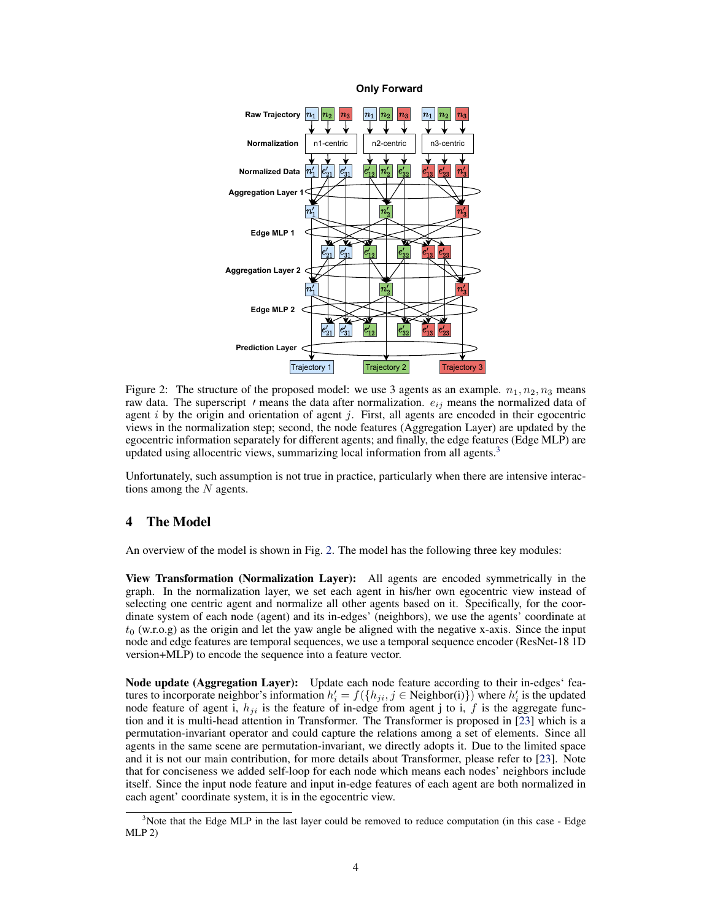<span id="page-3-0"></span>

**Only Forward**

Figure 2: The structure of the proposed model: we use 3 agents as an example.  $n_1, n_2, n_3$  means raw data. The superscript  $\prime$  means the data after normalization.  $e_{ij}$  means the normalized data of agent  $i$  by the origin and orientation of agent  $j$ . First, all agents are encoded in their egocentric views in the normalization step; second, the node features (Aggregation Layer) are updated by the egocentric information separately for different agents; and finally, the edge features (Edge MLP) are updated using allocentric views, summarizing local information from all agents.<sup>[3](#page-0-0)</sup>

Unfortunately, such assumption is not true in practice, particularly when there are intensive interactions among the  $N$  agents.

## 4 The Model

An overview of the model is shown in Fig. 2. The model has the following three key modules:

View Transformation (Normalization Layer): All agents are encoded symmetrically in the graph. In the normalization layer, we set each agent in his/her own egocentric view instead of selecting one centric agent and normalize all other agents based on it. Specifically, for the coordinate system of each node (agent) and its in-edges' (neighbors), we use the agents' coordinate at  $t_0$  (w.r.o.g) as the origin and let the yaw angle be aligned with the negative x-axis. Since the input node and edge features are temporal sequences, we use a temporal sequence encoder (ResNet-18 1D version+MLP) to encode the sequence into a feature vector.

Node update (Aggregation Layer): Update each node feature according to their in-edges' features to incorporate neighbor's information  $h'_i = f(\lbrace h_{ji}, j \in \text{Neighbour}(i) \rbrace)$  where  $h'_i$  is the updated node feature of agent i,  $h_{ji}$  is the feature of in-edge from agent j to i, f is the aggregate function and it is multi-head attention in Transformer. The Transformer is proposed in [\[23\]](#page-9-0) which is a permutation-invariant operator and could capture the relations among a set of elements. Since all agents in the same scene are permutation-invariant, we directly adopts it. Due to the limited space and it is not our main contribution, for more details about Transformer, please refer to [\[23\]](#page-9-0). Note that for conciseness we added self-loop for each node which means each nodes' neighbors include itself. Since the input node feature and input in-edge features of each agent are both normalized in each agent' coordinate system, it is in the egocentric view.

 $3$ Note that the Edge MLP in the last layer could be removed to reduce computation (in this case - Edge MLP 2)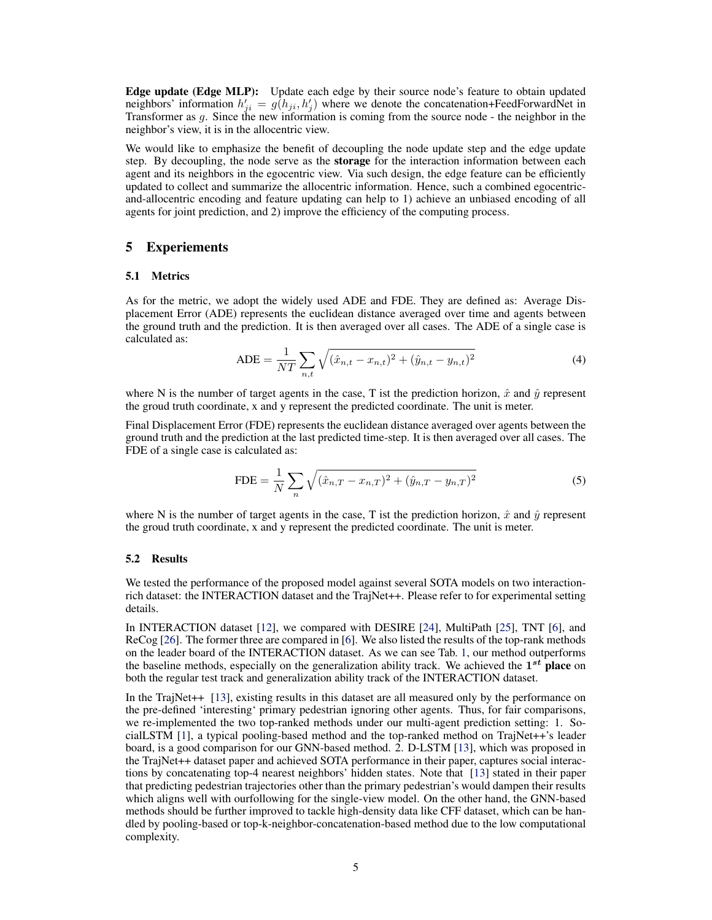Edge update (Edge MLP): Update each edge by their source node's feature to obtain updated neighbors' information  $h'_{ji} = g(h_{ji}, h'_{j})$  where we denote the concatenation+FeedForwardNet in Transformer as g. Since the new information is coming from the source node - the neighbor in the neighbor's view, it is in the allocentric view.

We would like to emphasize the benefit of decoupling the node update step and the edge update step. By decoupling, the node serve as the **storage** for the interaction information between each agent and its neighbors in the egocentric view. Via such design, the edge feature can be efficiently updated to collect and summarize the allocentric information. Hence, such a combined egocentricand-allocentric encoding and feature updating can help to 1) achieve an unbiased encoding of all agents for joint prediction, and 2) improve the efficiency of the computing process.

### 5 Experiements

#### 5.1 Metrics

As for the metric, we adopt the widely used ADE and FDE. They are defined as: Average Displacement Error (ADE) represents the euclidean distance averaged over time and agents between the ground truth and the prediction. It is then averaged over all cases. The ADE of a single case is calculated as:

$$
ADE = \frac{1}{NT} \sum_{n,t} \sqrt{(\hat{x}_{n,t} - x_{n,t})^2 + (\hat{y}_{n,t} - y_{n,t})^2}
$$
(4)

where N is the number of target agents in the case, T ist the prediction horizon,  $\hat{x}$  and  $\hat{y}$  represent the groud truth coordinate, x and y represent the predicted coordinate. The unit is meter.

Final Displacement Error (FDE) represents the euclidean distance averaged over agents between the ground truth and the prediction at the last predicted time-step. It is then averaged over all cases. The FDE of a single case is calculated as:

$$
\text{FDE} = \frac{1}{N} \sum_{n} \sqrt{(\hat{x}_{n,T} - x_{n,T})^2 + (\hat{y}_{n,T} - y_{n,T})^2}
$$
(5)

where N is the number of target agents in the case, T ist the prediction horizon,  $\hat{x}$  and  $\hat{y}$  represent the groud truth coordinate, x and y represent the predicted coordinate. The unit is meter.

#### 5.2 Results

We tested the performance of the proposed model against several SOTA models on two interactionrich dataset: the INTERACTION dataset and the TrajNet++. Please refer to for experimental setting details.

In INTERACTION dataset [\[12\]](#page-8-0), we compared with DESIRE [\[24\]](#page-9-0), MultiPath [\[25\]](#page-9-0), TNT [\[6\]](#page-8-0), and ReCog [\[26\]](#page-9-0). The former three are compared in [\[6\]](#page-8-0). We also listed the results of the top-rank methods on the leader board of the INTERACTION dataset. As we can see Tab. [1,](#page-5-0) our method outperforms the baseline methods, especially on the generalization ability track. We achieved the  $1^{st}$  place on both the regular test track and generalization ability track of the INTERACTION dataset.

In the TrajNet++ [\[13\]](#page-8-0), existing results in this dataset are all measured only by the performance on the pre-defined 'interesting' primary pedestrian ignoring other agents. Thus, for fair comparisons, we re-implemented the two top-ranked methods under our multi-agent prediction setting: 1. SocialLSTM [\[1\]](#page-8-0), a typical pooling-based method and the top-ranked method on TrajNet++'s leader board, is a good comparison for our GNN-based method. 2. D-LSTM [\[13\]](#page-8-0), which was proposed in the TrajNet++ dataset paper and achieved SOTA performance in their paper, captures social interactions by concatenating top-4 nearest neighbors' hidden states. Note that [\[13\]](#page-8-0) stated in their paper that predicting pedestrian trajectories other than the primary pedestrian's would dampen their results which aligns well with ourfollowing for the single-view model. On the other hand, the GNN-based methods should be further improved to tackle high-density data like CFF dataset, which can be handled by pooling-based or top-k-neighbor-concatenation-based method due to the low computational complexity.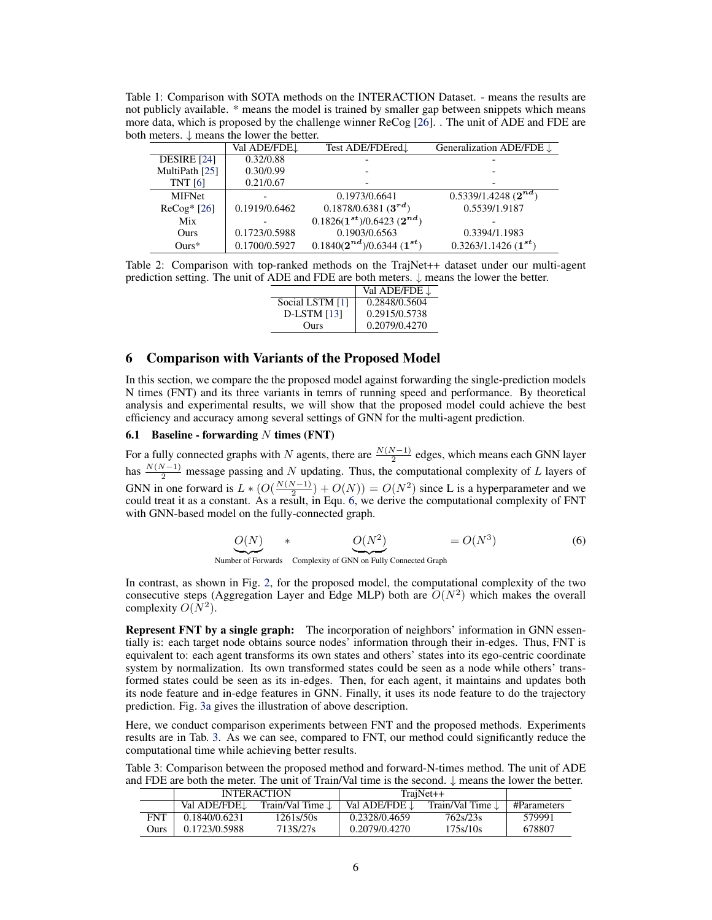<span id="page-5-0"></span>Table 1: Comparison with SOTA methods on the INTERACTION Dataset. - means the results are not publicly available. \* means the model is trained by smaller gap between snippets which means more data, which is proposed by the challenge winner ReCog [\[26\]](#page-9-0). . The unit of ADE and FDE are both meters. ↓ means the lower the better.

| Val ADE/FDE <sub>J</sub> | Test ADE/FDEred.                | Generalization ADE/FDE $\downarrow$ |  |  |
|--------------------------|---------------------------------|-------------------------------------|--|--|
| 0.32/0.88                |                                 |                                     |  |  |
| 0.30/0.99                |                                 |                                     |  |  |
| 0.21/0.67                |                                 |                                     |  |  |
|                          | 0.1973/0.6641                   | $0.5339/1.4248 (2^{nd})$            |  |  |
| 0.1919/0.6462            | $0.1878/0.6381(3^{rd})$         | 0.5539/1.9187                       |  |  |
|                          | $0.1826(1^{st})/0.6423(2^{nd})$ |                                     |  |  |
| 0.1723/0.5988            | 0.1903/0.6563                   | 0.3394/1.1983                       |  |  |
| 0.1700/0.5927            | $0.1840(2^{nd})/0.6344(1^{st})$ | $0.3263/1.1426(1^{st})$             |  |  |
|                          |                                 |                                     |  |  |

Table 2: Comparison with top-ranked methods on the TrajNet++ dataset under our multi-agent prediction setting. The unit of ADE and FDE are both meters.  $\downarrow$  means the lower the better.

|                 | Val ADE/FDE $\downarrow$ |
|-----------------|--------------------------|
| Social LSTM [1] | 0.2848/0.5604            |
| $D$ -LSTM [13]  | 0.2915/0.5738            |
| Ours            | 0.2079/0.4270            |

## 6 Comparison with Variants of the Proposed Model

In this section, we compare the the proposed model against forwarding the single-prediction models N times (FNT) and its three variants in temrs of running speed and performance. By theoretical analysis and experimental results, we will show that the proposed model could achieve the best efficiency and accuracy among several settings of GNN for the multi-agent prediction.

## 6.1 Baseline - forwarding  $N$  times (FNT)

For a fully connected graphs with N agents, there are  $\frac{N(N-1)}{2}$  edges, which means each GNN layer has  $\frac{N(N-1)}{2}$  message passing and N updating. Thus, the computational complexity of L layers of GNN in one forward is  $L * (O(\frac{N(N-1)}{2}))$  $\left(\frac{N-1}{2}\right) + O(N) = O(N^2)$  since L is a hyperparameter and we could treat it as a constant. As a result, in Equ. 6, we derive the computational complexity of FNT with GNN-based model on the fully-connected graph.

$$
O(N) \qquad * \qquad O(N^2) \qquad \qquad = O(N^3) \tag{6}
$$

Number of Forwards Complexity of GNN on Fully Connected Graph

In contrast, as shown in Fig. [2,](#page-3-0) for the proposed model, the computational complexity of the two consecutive steps (Aggregation Layer and Edge MLP) both are  $O(N^2)$  which makes the overall complexity  $O(N^2)$ .

Represent FNT by a single graph: The incorporation of neighbors' information in GNN essentially is: each target node obtains source nodes' information through their in-edges. Thus, FNT is equivalent to: each agent transforms its own states and others' states into its ego-centric coordinate system by normalization. Its own transformed states could be seen as a node while others' transformed states could be seen as its in-edges. Then, for each agent, it maintains and updates both its node feature and in-edge features in GNN. Finally, it uses its node feature to do the trajectory prediction. Fig. [3a](#page-6-0) gives the illustration of above description.

Here, we conduct comparison experiments between FNT and the proposed methods. Experiments results are in Tab. 3. As we can see, compared to FNT, our method could significantly reduce the computational time while achieving better results.

Table 3: Comparison between the proposed method and forward-N-times method. The unit of ADE and FDE are both the meter. The unit of Train/Val time is the second.  $\downarrow$  means the lower the better.

|            | <b>INTERACTION</b> |                             | $TrainNet++$  |                  |             |
|------------|--------------------|-----------------------------|---------------|------------------|-------------|
|            | Val ADE/FDE.       | Train/Val Time $\downarrow$ | Val ADE/FDE J | Train/Val Time L | #Parameters |
| <b>FNT</b> | 0.1840/0.6231      | 1261s/50s                   | 0.2328/0.4659 | 762s/23s         | 579991      |
| Ours       | 0.1723/0.5988      | 713S/27s                    | 0.2079/0.4270 | 175s/10s         | 678807      |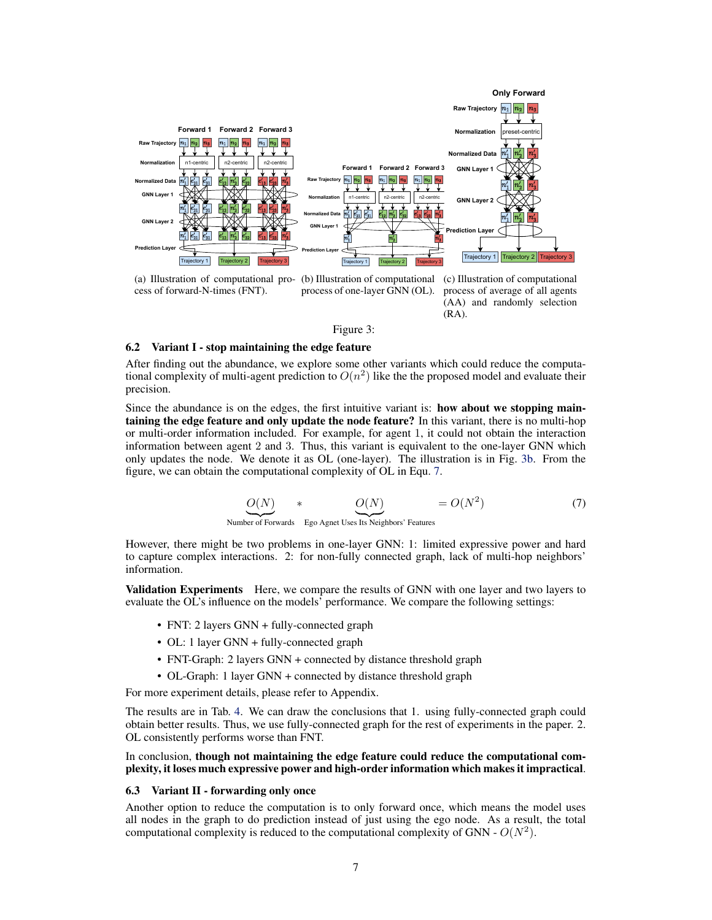<span id="page-6-0"></span>

(a) Illustration of computational pro-(b) Illustration of computational (c) Illustration of computational

process of average of all agents (AA) and randomly selection (RA).

#### Figure 3:

#### 6.2 Variant I - stop maintaining the edge feature

After finding out the abundance, we explore some other variants which could reduce the computational complexity of multi-agent prediction to  $O(n^2)$  like the the proposed model and evaluate their precision.

Since the abundance is on the edges, the first intuitive variant is: **how about we stopping main**taining the edge feature and only update the node feature? In this variant, there is no multi-hop or multi-order information included. For example, for agent 1, it could not obtain the interaction information between agent 2 and 3. Thus, this variant is equivalent to the one-layer GNN which only updates the node. We denote it as OL (one-layer). The illustration is in Fig. 3b. From the figure, we can obtain the computational complexity of OL in Equ. 7.

$$
O(N) * O(N) = O(N^2)
$$
 (7)

Number of Forwards Ego Agnet Uses Its Neighbors' Features

However, there might be two problems in one-layer GNN: 1: limited expressive power and hard to capture complex interactions. 2: for non-fully connected graph, lack of multi-hop neighbors' information.

Validation Experiments Here, we compare the results of GNN with one layer and two layers to evaluate the OL's influence on the models' performance. We compare the following settings:

- FNT: 2 layers GNN + fully-connected graph
- OL: 1 layer GNN + fully-connected graph
- FNT-Graph: 2 layers GNN + connected by distance threshold graph
- OL-Graph: 1 layer GNN + connected by distance threshold graph

For more experiment details, please refer to Appendix.

The results are in Tab. [4.](#page-7-0) We can draw the conclusions that 1. using fully-connected graph could obtain better results. Thus, we use fully-connected graph for the rest of experiments in the paper. 2. OL consistently performs worse than FNT.

#### In conclusion, though not maintaining the edge feature could reduce the computational complexity, it loses much expressive power and high-order information which makes it impractical.

#### 6.3 Variant II - forwarding only once

Another option to reduce the computation is to only forward once, which means the model uses all nodes in the graph to do prediction instead of just using the ego node. As a result, the total computational complexity is reduced to the computational complexity of GNN -  $O(N^2)$ .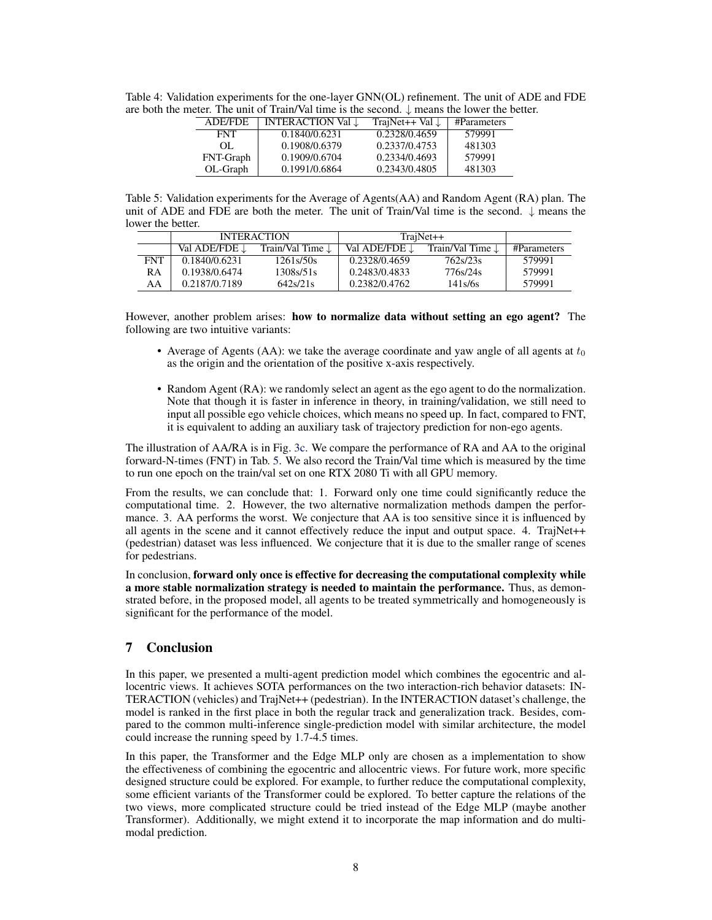| the meter. The unit of Train/Val time is the second. $\downarrow$ means the lower the better. |            |                          |                                          |        |  |
|-----------------------------------------------------------------------------------------------|------------|--------------------------|------------------------------------------|--------|--|
|                                                                                               | ADE/FDE    | INTERACTION Val <u>J</u> | TrajNet++ Val $\downarrow$   #Parameters |        |  |
|                                                                                               | <b>FNT</b> | 0.1840/0.6231            | 0.2328/0.4659                            | 579991 |  |
|                                                                                               | OL.        | 0.1908/0.6379            | 0.2337/0.4753                            | 481303 |  |

FNT-Graph 0.1909/0.6704 0.2334/0.4693 579991<br>OL-Graph 0.1991/0.6864 0.2343/0.4805 481303

0.1991/0.6864

<span id="page-7-0"></span>Table 4: Validation experiments for the one-layer GNN(OL) refinement. The unit of ADE and FDE are both the meter. The unit of Train/Val time is the second.  $\downarrow$  means the lower the better. are both the meter. The unit of Train/Val time is the second. ↓ means the lower the better.

Table 5: Validation experiments for the Average of Agents(AA) and Random Agent (RA) plan. The unit of ADE and FDE are both the meter. The unit of Train/Val time is the second.  $\downarrow$  means the lower the better.

|            | <b>INTERACTION</b> |                             | $TrainNet++$  |                             |             |
|------------|--------------------|-----------------------------|---------------|-----------------------------|-------------|
|            | Val ADE/FDE 1      | Train/Val Time $\downarrow$ | Val ADE/FDE J | Train/Val Time $\downarrow$ | #Parameters |
| <b>FNT</b> | 0.1840/0.6231      | 1261s/50s                   | 0.2328/0.4659 | 762s/23s                    | 579991      |
| RA         | 0.1938/0.6474      | 1308s/51s                   | 0.2483/0.4833 | 776s/24s                    | 579991      |
| AA         | 0.2187/0.7189      | 642s/21s                    | 0.2382/0.4762 | 141s/6s                     | 579991      |

However, another problem arises: how to normalize data without setting an ego agent? The following are two intuitive variants:

- Average of Agents (AA): we take the average coordinate and yaw angle of all agents at  $t_0$ as the origin and the orientation of the positive x-axis respectively.
- Random Agent (RA): we randomly select an agent as the ego agent to do the normalization. Note that though it is faster in inference in theory, in training/validation, we still need to input all possible ego vehicle choices, which means no speed up. In fact, compared to FNT, it is equivalent to adding an auxiliary task of trajectory prediction for non-ego agents.

The illustration of AA/RA is in Fig. [3c.](#page-6-0) We compare the performance of RA and AA to the original forward-N-times (FNT) in Tab. 5. We also record the Train/Val time which is measured by the time to run one epoch on the train/val set on one RTX 2080 Ti with all GPU memory.

From the results, we can conclude that: 1. Forward only one time could significantly reduce the computational time. 2. However, the two alternative normalization methods dampen the performance. 3. AA performs the worst. We conjecture that AA is too sensitive since it is influenced by all agents in the scene and it cannot effectively reduce the input and output space. 4. TrajNet++ (pedestrian) dataset was less influenced. We conjecture that it is due to the smaller range of scenes for pedestrians.

In conclusion, forward only once is effective for decreasing the computational complexity while a more stable normalization strategy is needed to maintain the performance. Thus, as demonstrated before, in the proposed model, all agents to be treated symmetrically and homogeneously is significant for the performance of the model.

# 7 Conclusion

In this paper, we presented a multi-agent prediction model which combines the egocentric and allocentric views. It achieves SOTA performances on the two interaction-rich behavior datasets: IN-TERACTION (vehicles) and TrajNet++ (pedestrian). In the INTERACTION dataset's challenge, the model is ranked in the first place in both the regular track and generalization track. Besides, compared to the common multi-inference single-prediction model with similar architecture, the model could increase the running speed by 1.7-4.5 times.

In this paper, the Transformer and the Edge MLP only are chosen as a implementation to show the effectiveness of combining the egocentric and allocentric views. For future work, more specific designed structure could be explored. For example, to further reduce the computational complexity, some efficient variants of the Transformer could be explored. To better capture the relations of the two views, more complicated structure could be tried instead of the Edge MLP (maybe another Transformer). Additionally, we might extend it to incorporate the map information and do multimodal prediction.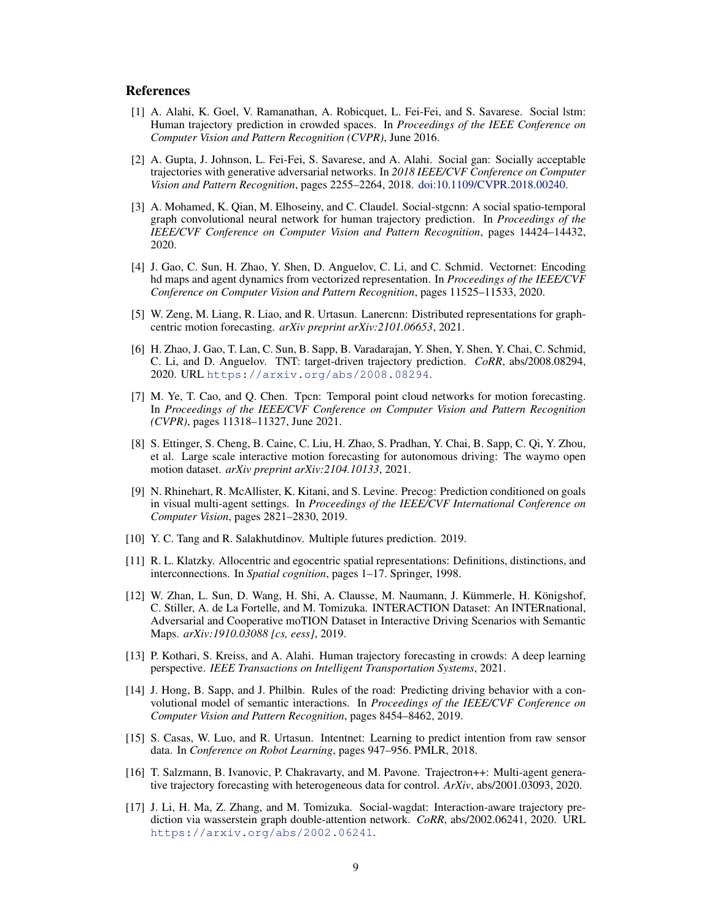#### <span id="page-8-0"></span>References

- [1] A. Alahi, K. Goel, V. Ramanathan, A. Robicquet, L. Fei-Fei, and S. Savarese. Social lstm: Human trajectory prediction in crowded spaces. In *Proceedings of the IEEE Conference on Computer Vision and Pattern Recognition (CVPR)*, June 2016.
- [2] A. Gupta, J. Johnson, L. Fei-Fei, S. Savarese, and A. Alahi. Social gan: Socially acceptable trajectories with generative adversarial networks. In *2018 IEEE/CVF Conference on Computer Vision and Pattern Recognition*, pages 2255–2264, 2018. [doi:10.1109/CVPR.2018.00240.](http://dx.doi.org/10.1109/CVPR.2018.00240)
- [3] A. Mohamed, K. Qian, M. Elhoseiny, and C. Claudel. Social-stgcnn: A social spatio-temporal graph convolutional neural network for human trajectory prediction. In *Proceedings of the IEEE/CVF Conference on Computer Vision and Pattern Recognition*, pages 14424–14432, 2020.
- [4] J. Gao, C. Sun, H. Zhao, Y. Shen, D. Anguelov, C. Li, and C. Schmid. Vectornet: Encoding hd maps and agent dynamics from vectorized representation. In *Proceedings of the IEEE/CVF Conference on Computer Vision and Pattern Recognition*, pages 11525–11533, 2020.
- [5] W. Zeng, M. Liang, R. Liao, and R. Urtasun. Lanercnn: Distributed representations for graphcentric motion forecasting. *arXiv preprint arXiv:2101.06653*, 2021.
- [6] H. Zhao, J. Gao, T. Lan, C. Sun, B. Sapp, B. Varadarajan, Y. Shen, Y. Shen, Y. Chai, C. Schmid, C. Li, and D. Anguelov. TNT: target-driven trajectory prediction. *CoRR*, abs/2008.08294, 2020. URL <https://arxiv.org/abs/2008.08294>.
- [7] M. Ye, T. Cao, and Q. Chen. Tpcn: Temporal point cloud networks for motion forecasting. In *Proceedings of the IEEE/CVF Conference on Computer Vision and Pattern Recognition (CVPR)*, pages 11318–11327, June 2021.
- [8] S. Ettinger, S. Cheng, B. Caine, C. Liu, H. Zhao, S. Pradhan, Y. Chai, B. Sapp, C. Qi, Y. Zhou, et al. Large scale interactive motion forecasting for autonomous driving: The waymo open motion dataset. *arXiv preprint arXiv:2104.10133*, 2021.
- [9] N. Rhinehart, R. McAllister, K. Kitani, and S. Levine. Precog: Prediction conditioned on goals in visual multi-agent settings. In *Proceedings of the IEEE/CVF International Conference on Computer Vision*, pages 2821–2830, 2019.
- [10] Y. C. Tang and R. Salakhutdinov. Multiple futures prediction. 2019.
- [11] R. L. Klatzky. Allocentric and egocentric spatial representations: Definitions, distinctions, and interconnections. In *Spatial cognition*, pages 1–17. Springer, 1998.
- [12] W. Zhan, L. Sun, D. Wang, H. Shi, A. Clausse, M. Naumann, J. Kümmerle, H. Königshof, C. Stiller, A. de La Fortelle, and M. Tomizuka. INTERACTION Dataset: An INTERnational, Adversarial and Cooperative moTION Dataset in Interactive Driving Scenarios with Semantic Maps. *arXiv:1910.03088 [cs, eess]*, 2019.
- [13] P. Kothari, S. Kreiss, and A. Alahi. Human trajectory forecasting in crowds: A deep learning perspective. *IEEE Transactions on Intelligent Transportation Systems*, 2021.
- [14] J. Hong, B. Sapp, and J. Philbin. Rules of the road: Predicting driving behavior with a convolutional model of semantic interactions. In *Proceedings of the IEEE/CVF Conference on Computer Vision and Pattern Recognition*, pages 8454–8462, 2019.
- [15] S. Casas, W. Luo, and R. Urtasun. Intentnet: Learning to predict intention from raw sensor data. In *Conference on Robot Learning*, pages 947–956. PMLR, 2018.
- [16] T. Salzmann, B. Ivanovic, P. Chakravarty, and M. Pavone. Trajectron++: Multi-agent generative trajectory forecasting with heterogeneous data for control. *ArXiv*, abs/2001.03093, 2020.
- [17] J. Li, H. Ma, Z. Zhang, and M. Tomizuka. Social-wagdat: Interaction-aware trajectory prediction via wasserstein graph double-attention network. *CoRR*, abs/2002.06241, 2020. URL <https://arxiv.org/abs/2002.06241>.